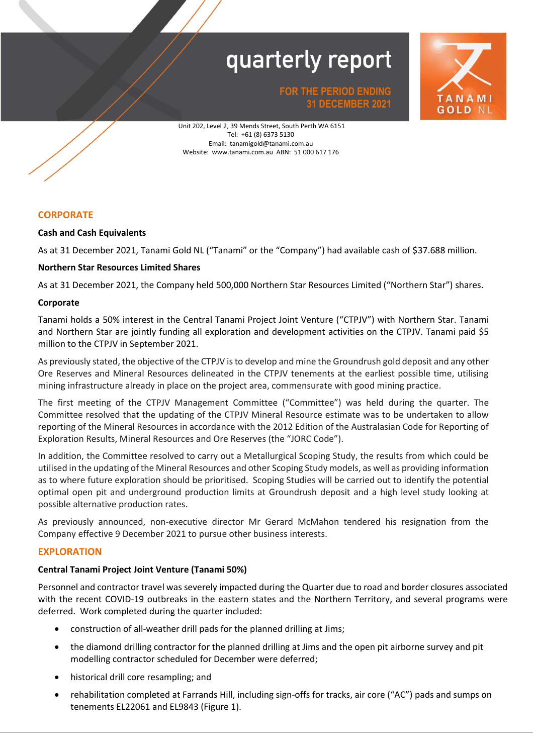

**FOR THE PERIOD ENDING 31 DECEMBER 2021**

Website: www.tanami.com.au ABN: 51 000 617 176 Unit 202, Level 2, 39 Mends Street, South Perth WA 6151 Tel: +61 (8) 6373 5130 Email: tanamigold@tanami.com.au

#### **CORPORATE**

#### **Cash and Cash Equivalents**

As at 31 December 2021, Tanami Gold NL ("Tanami" or the "Company") had available cash of \$37.688 million.

#### **Northern Star Resources Limited Shares**

As at 31 December 2021, the Company held 500,000 Northern Star Resources Limited ("Northern Star") shares.

#### **Corporate**

Tanami holds a 50% interest in the Central Tanami Project Joint Venture ("CTPJV") with Northern Star. Tanami and Northern Star are jointly funding all exploration and development activities on the CTPJV. Tanami paid \$5 million to the CTPJV in September 2021.

As previously stated, the objective of the CTPJV is to develop and mine the Groundrush gold deposit and any other Ore Reserves and Mineral Resources delineated in the CTPJV tenements at the earliest possible time, utilising mining infrastructure already in place on the project area, commensurate with good mining practice.

The first meeting of the CTPJV Management Committee ("Committee") was held during the quarter. The Committee resolved that the updating of the CTPJV Mineral Resource estimate was to be undertaken to allow reporting of the Mineral Resources in accordance with the 2012 Edition of the Australasian Code for Reporting of Exploration Results, Mineral Resources and Ore Reserves (the "JORC Code").

In addition, the Committee resolved to carry out a Metallurgical Scoping Study, the results from which could be utilised in the updating of the Mineral Resources and other Scoping Study models, as well as providing information as to where future exploration should be prioritised. Scoping Studies will be carried out to identify the potential optimal open pit and underground production limits at Groundrush deposit and a high level study looking at possible alternative production rates.

As previously announced, non-executive director Mr Gerard McMahon tendered his resignation from the Company effective 9 December 2021 to pursue other business interests.

#### **EXPLORATION**

#### **Central Tanami Project Joint Venture (Tanami 50%)**

Personnel and contractor travel was severely impacted during the Quarter due to road and border closures associated with the recent COVID-19 outbreaks in the eastern states and the Northern Territory, and several programs were deferred. Work completed during the quarter included:

- construction of all-weather drill pads for the planned drilling at Jims;
- the diamond drilling contractor for the planned drilling at Jims and the open pit airborne survey and pit modelling contractor scheduled for December were deferred;
- historical drill core resampling; and
- rehabilitation completed at Farrands Hill, including sign-offs for tracks, air core ("AC") pads and sumps on tenements EL22061 and EL9843 (Figure 1).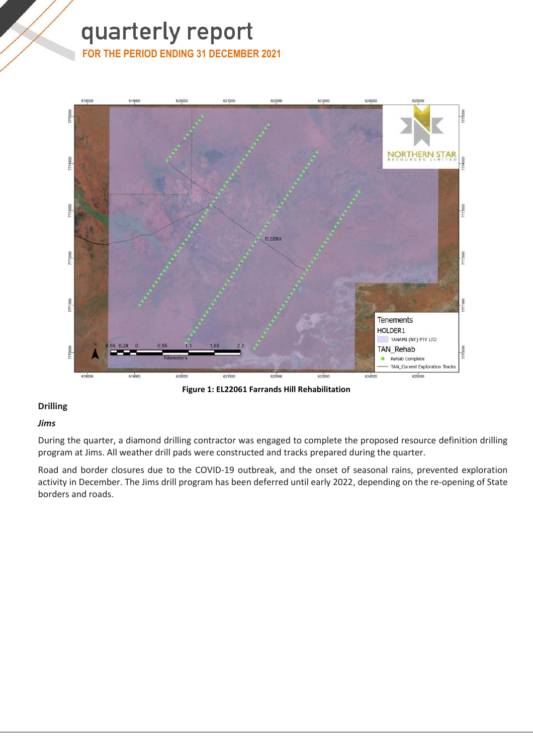#### **FOR THE PERIOD ENDING 31 DECEMBER 2021**



**Figure 1: EL22061 Farrands Hill Rehabilitation**

#### **Drilling**

#### *Jims*

During the quarter, a diamond drilling contractor was engaged to complete the proposed resource definition drilling program at Jims. All weather drill pads were constructed and tracks prepared during the quarter.

Road and border closures due to the COVID-19 outbreak, and the onset of seasonal rains, prevented exploration activity in December. The Jims drill program has been deferred until early 2022, depending on the re-opening of State borders and roads.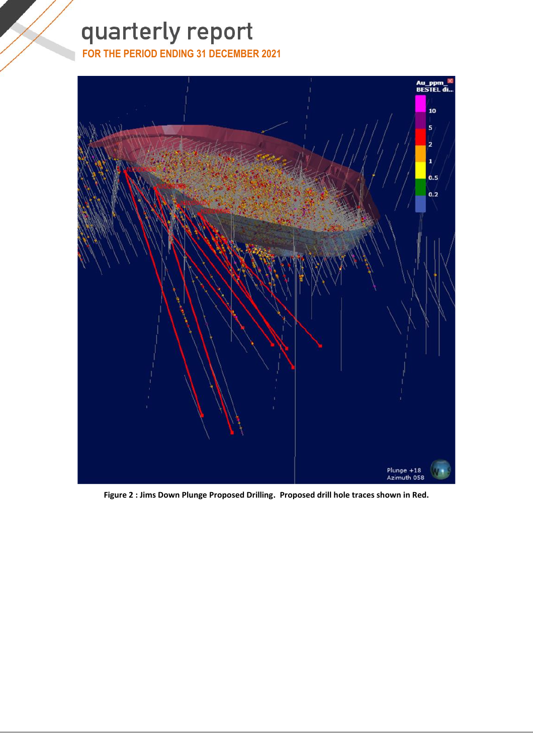**FOR THE PERIOD ENDING 31 DECEMBER 2021**



**Figure 2 : Jims Down Plunge Proposed Drilling. Proposed drill hole traces shown in Red.**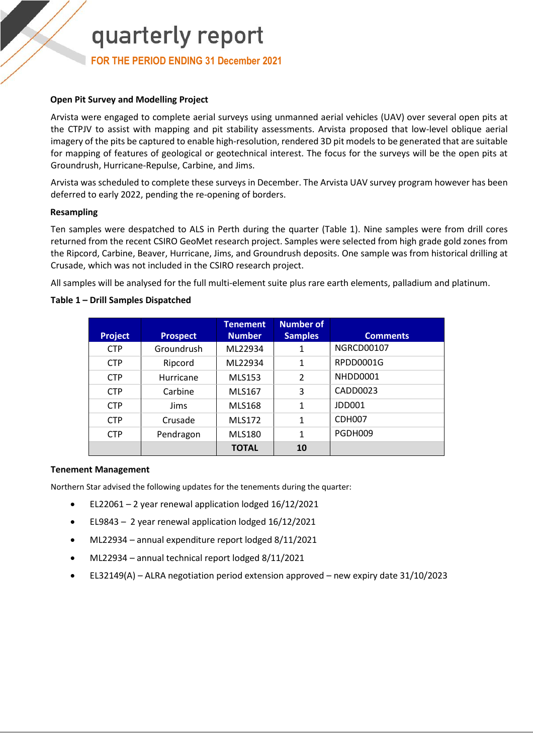**FOR THE PERIOD ENDING 31 December 2021**

#### **Open Pit Survey and Modelling Project**

Arvista were engaged to complete aerial surveys using unmanned aerial vehicles (UAV) over several open pits at the CTPJV to assist with mapping and pit stability assessments. Arvista proposed that low-level oblique aerial imagery of the pits be captured to enable high-resolution, rendered 3D pit models to be generated that are suitable for mapping of features of geological or geotechnical interest. The focus for the surveys will be the open pits at Groundrush, Hurricane-Repulse, Carbine, and Jims.

Arvista was scheduled to complete these surveys in December. The Arvista UAV survey program however has been deferred to early 2022, pending the re-opening of borders.

#### **Resampling**

Ten samples were despatched to ALS in Perth during the quarter (Table 1). Nine samples were from drill cores returned from the recent CSIRO GeoMet research project. Samples were selected from high grade gold zones from the Ripcord, Carbine, Beaver, Hurricane, Jims, and Groundrush deposits. One sample was from historical drilling at Crusade, which was not included in the CSIRO research project.

All samples will be analysed for the full multi-element suite plus rare earth elements, palladium and platinum.

#### **Table 1 – Drill Samples Dispatched**

| <b>Project</b> | <b>Prospect</b> | Tenement<br><b>Number</b> | <b>Number of</b><br><b>Samples</b> | <b>Comments</b>    |
|----------------|-----------------|---------------------------|------------------------------------|--------------------|
| <b>CTP</b>     | Groundrush      | ML22934                   | 1                                  | NGRCD00107         |
| <b>CTP</b>     | Ripcord         | ML22934                   | 1                                  | RPDD0001G          |
| <b>CTP</b>     | Hurricane       | <b>MLS153</b>             | $\mathfrak{p}$                     | NHDD0001           |
| <b>CTP</b>     | Carbine         | <b>MLS167</b>             | 3                                  | CADD0023           |
| <b>CTP</b>     | <b>Jims</b>     | <b>MLS168</b>             | 1                                  | JDD001             |
| <b>CTP</b>     | Crusade         | <b>MLS172</b>             | 1                                  | CDH <sub>007</sub> |
| <b>CTP</b>     | Pendragon       | <b>MLS180</b>             | 1                                  | PGDH009            |
|                |                 | <b>TOTAL</b>              | 10                                 |                    |

#### **Tenement Management**

Northern Star advised the following updates for the tenements during the quarter:

- EL22061 2 year renewal application lodged 16/12/2021
- EL9843 2 year renewal application lodged 16/12/2021
- ML22934 annual expenditure report lodged 8/11/2021
- ML22934 annual technical report lodged 8/11/2021
- EL32149(A) ALRA negotiation period extension approved new expiry date 31/10/2023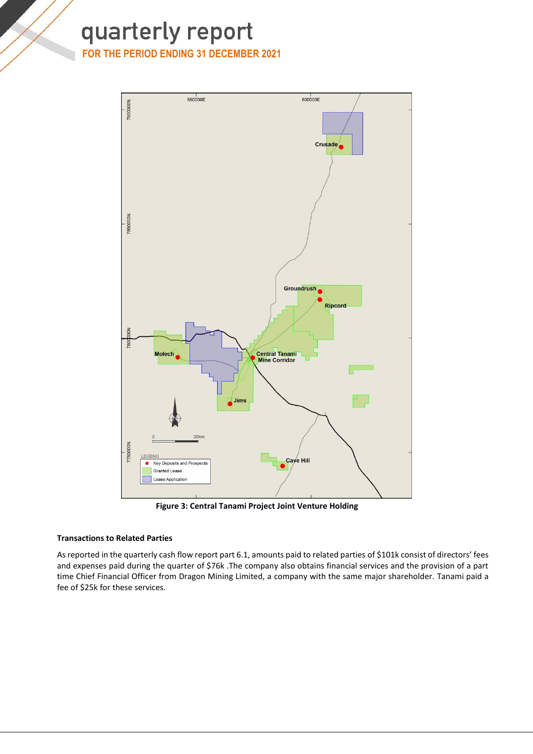#### **FOR THE PERIOD ENDING 31 DECEMBER 2021**



**Figure 3: Central Tanami Project Joint Venture Holding**

#### **Transactions to Related Parties**

As reported in the quarterly cash flow report part 6.1, amounts paid to related parties of \$101k consist of directors' fees and expenses paid during the quarter of \$76k .The company also obtains financial services and the provision of a part time Chief Financial Officer from Dragon Mining Limited, a company with the same major shareholder. Tanami paid a fee of \$25k for these services.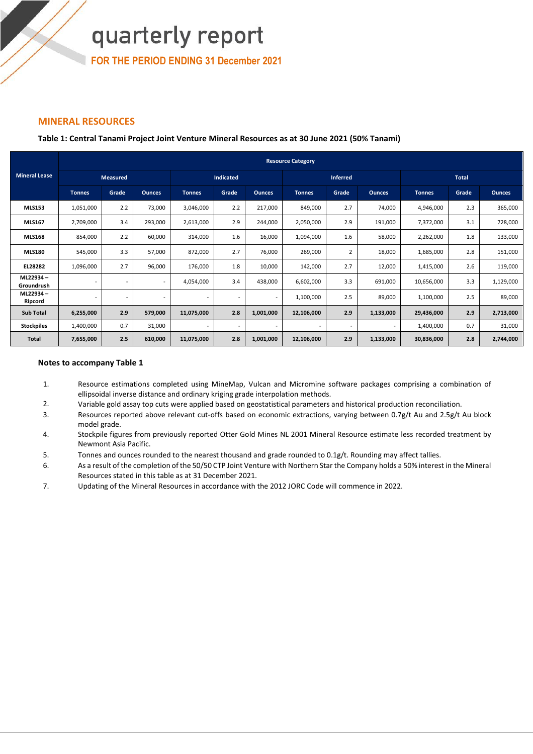**FOR THE PERIOD ENDING 31 December 2021**

#### **MINERAL RESOURCES**

#### **Table 1: Central Tanami Project Joint Venture Mineral Resources as at 30 June 2021 (50% Tanami)**

|                        | <b>Resource Category</b> |                 |                          |                          |                          |                          |               |                          |                          |               |              |               |
|------------------------|--------------------------|-----------------|--------------------------|--------------------------|--------------------------|--------------------------|---------------|--------------------------|--------------------------|---------------|--------------|---------------|
| <b>Mineral Lease</b>   |                          | <b>Measured</b> |                          |                          | <b>Indicated</b>         |                          |               | <b>Inferred</b>          |                          |               | <b>Total</b> |               |
|                        | <b>Tonnes</b>            | Grade           | <b>Ounces</b>            | <b>Tonnes</b>            | Grade                    | <b>Ounces</b>            | <b>Tonnes</b> | Grade                    | <b>Ounces</b>            | <b>Tonnes</b> | Grade        | <b>Ounces</b> |
| <b>MLS153</b>          | 1,051,000                | 2.2             | 73,000                   | 3,046,000                | 2.2                      | 217,000                  | 849,000       | 2.7                      | 74,000                   | 4,946,000     | 2.3          | 365,000       |
| <b>MLS167</b>          | 2,709,000                | 3.4             | 293,000                  | 2,613,000                | 2.9                      | 244,000                  | 2,050,000     | 2.9                      | 191,000                  | 7,372,000     | 3.1          | 728,000       |
| <b>MLS168</b>          | 854,000                  | 2.2             | 60,000                   | 314,000                  | 1.6                      | 16,000                   | 1,094,000     | 1.6                      | 58,000                   | 2,262,000     | 1.8          | 133,000       |
| <b>MLS180</b>          | 545,000                  | 3.3             | 57,000                   | 872,000                  | 2.7                      | 76,000                   | 269,000       | $\overline{2}$           | 18,000                   | 1,685,000     | 2.8          | 151,000       |
| EL28282                | 1,096,000                | 2.7             | 96,000                   | 176,000                  | 1.8                      | 10,000                   | 142,000       | 2.7                      | 12,000                   | 1,415,000     | 2.6          | 119,000       |
| ML22934-<br>Groundrush |                          |                 | $\overline{\phantom{a}}$ | 4,054,000                | 3.4                      | 438,000                  | 6,602,000     | 3.3                      | 691,000                  | 10,656,000    | 3.3          | 1,129,000     |
| ML22934-<br>Ripcord    |                          | $\sim$          | $\overline{\phantom{a}}$ | $\overline{\phantom{a}}$ | $\overline{\phantom{a}}$ | $\overline{\phantom{a}}$ | 1,100,000     | 2.5                      | 89,000                   | 1,100,000     | 2.5          | 89,000        |
| <b>Sub Total</b>       | 6,255,000                | 2.9             | 579,000                  | 11,075,000               | 2.8                      | 1,001,000                | 12,106,000    | 2.9                      | 1,133,000                | 29,436,000    | 2.9          | 2,713,000     |
| <b>Stockpiles</b>      | 1,400,000                | 0.7             | 31,000                   | $\overline{\phantom{a}}$ | $\overline{\phantom{a}}$ | $\overline{\phantom{a}}$ | $\sim$        | $\overline{\phantom{a}}$ | $\overline{\phantom{a}}$ | 1,400,000     | 0.7          | 31,000        |
| Total                  | 7,655,000                | 2.5             | 610,000                  | 11,075,000               | 2.8                      | 1,001,000                | 12,106,000    | 2.9                      | 1,133,000                | 30,836,000    | 2.8          | 2,744,000     |

#### **Notes to accompany Table 1**

- 1. Resource estimations completed using MineMap, Vulcan and Micromine software packages comprising a combination of ellipsoidal inverse distance and ordinary kriging grade interpolation methods.
- 2. Variable gold assay top cuts were applied based on geostatistical parameters and historical production reconciliation.
- 3. Resources reported above relevant cut-offs based on economic extractions, varying between 0.7g/t Au and 2.5g/t Au block model grade.
- 4. Stockpile figures from previously reported Otter Gold Mines NL 2001 Mineral Resource estimate less recorded treatment by Newmont Asia Pacific.
- 5. Tonnes and ounces rounded to the nearest thousand and grade rounded to 0.1g/t. Rounding may affect tallies.
- 6. As a result of the completion of the 50/50 CTP Joint Venture with Northern Star the Company holds a 50% interest in the Mineral Resources stated in this table as at 31 December 2021.
- 7. Updating of the Mineral Resources in accordance with the 2012 JORC Code will commence in 2022.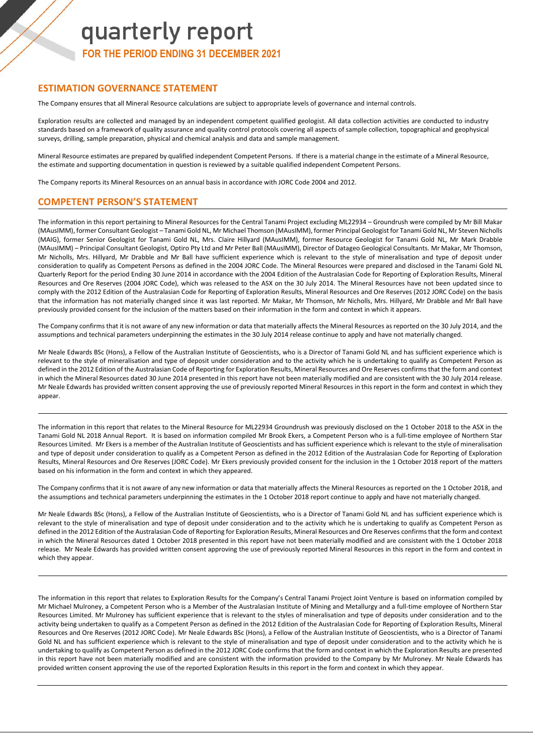### quarterly report **FOR THE PERIOD ENDING 31 DECEMBER 2021**

#### **ESTIMATION GOVERNANCE STATEMENT**

The Company ensures that all Mineral Resource calculations are subject to appropriate levels of governance and internal controls.

Exploration results are collected and managed by an independent competent qualified geologist. All data collection activities are conducted to industry standards based on a framework of quality assurance and quality control protocols covering all aspects of sample collection, topographical and geophysical surveys, drilling, sample preparation, physical and chemical analysis and data and sample management.

Mineral Resource estimates are prepared by qualified independent Competent Persons. If there is a material change in the estimate of a Mineral Resource, the estimate and supporting documentation in question is reviewed by a suitable qualified independent Competent Persons.

The Company reports its Mineral Resources on an annual basis in accordance with JORC Code 2004 and 2012.

#### **COMPETENT PERSON'S STATEMENT**

The information in this report pertaining to Mineral Resources for the Central Tanami Project excluding ML22934 – Groundrush were compiled by Mr Bill Makar (MAusIMM), former Consultant Geologist – Tanami Gold NL, Mr Michael Thomson (MAusIMM), former Principal Geologist for Tanami Gold NL, Mr Steven Nicholls (MAIG), former Senior Geologist for Tanami Gold NL, Mrs. Claire Hillyard (MAusIMM), former Resource Geologist for Tanami Gold NL, Mr Mark Drabble (MAusIMM) – Principal Consultant Geologist, Optiro Pty Ltd and Mr Peter Ball (MAusIMM), Director of Datageo Geological Consultants. Mr Makar, Mr Thomson, Mr Nicholls, Mrs. Hillyard, Mr Drabble and Mr Ball have sufficient experience which is relevant to the style of mineralisation and type of deposit under consideration to qualify as Competent Persons as defined in the 2004 JORC Code. The Mineral Resources were prepared and disclosed in the Tanami Gold NL Quarterly Report for the period Ending 30 June 2014 in accordance with the 2004 Edition of the Australasian Code for Reporting of Exploration Results, Mineral Resources and Ore Reserves (2004 JORC Code), which was released to the ASX on the 30 July 2014. The Mineral Resources have not been updated since to comply with the 2012 Edition of the Australasian Code for Reporting of Exploration Results, Mineral Resources and Ore Reserves (2012 JORC Code) on the basis that the information has not materially changed since it was last reported. Mr Makar, Mr Thomson, Mr Nicholls, Mrs. Hillyard, Mr Drabble and Mr Ball have previously provided consent for the inclusion of the matters based on their information in the form and context in which it appears.

The Company confirms that it is not aware of any new information or data that materially affects the Mineral Resources as reported on the 30 July 2014, and the assumptions and technical parameters underpinning the estimates in the 30 July 2014 release continue to apply and have not materially changed.

Mr Neale Edwards BSc (Hons), a Fellow of the Australian Institute of Geoscientists, who is a Director of Tanami Gold NL and has sufficient experience which is relevant to the style of mineralisation and type of deposit under consideration and to the activity which he is undertaking to qualify as Competent Person as defined in the 2012 Edition of the Australasian Code of Reporting for Exploration Results, Mineral Resources and Ore Reserves confirms that the form and context in which the Mineral Resources dated 30 June 2014 presented in this report have not been materially modified and are consistent with the 30 July 2014 release. Mr Neale Edwards has provided written consent approving the use of previously reported Mineral Resources in this report in the form and context in which they appear.

The information in this report that relates to the Mineral Resource for ML22934 Groundrush was previously disclosed on the 1 October 2018 to the ASX in the Tanami Gold NL 2018 Annual Report. It is based on information compiled Mr Brook Ekers, a Competent Person who is a full-time employee of Northern Star Resources Limited. Mr Ekers is a member of the Australian Institute of Geoscientists and has sufficient experience which is relevant to the style of mineralisation and type of deposit under consideration to qualify as a Competent Person as defined in the 2012 Edition of the Australasian Code for Reporting of Exploration Results, Mineral Resources and Ore Reserves (JORC Code). Mr Ekers previously provided consent for the inclusion in the 1 October 2018 report of the matters based on his information in the form and context in which they appeared.

The Company confirms that it is not aware of any new information or data that materially affects the Mineral Resources as reported on the 1 October 2018, and the assumptions and technical parameters underpinning the estimates in the 1 October 2018 report continue to apply and have not materially changed.

Mr Neale Edwards BSc (Hons), a Fellow of the Australian Institute of Geoscientists, who is a Director of Tanami Gold NL and has sufficient experience which is relevant to the style of mineralisation and type of deposit under consideration and to the activity which he is undertaking to qualify as Competent Person as defined in the 2012 Edition of the Australasian Code of Reporting for Exploration Results, Mineral Resources and Ore Reserves confirms that the form and context in which the Mineral Resources dated 1 October 2018 presented in this report have not been materially modified and are consistent with the 1 October 2018 release. Mr Neale Edwards has provided written consent approving the use of previously reported Mineral Resources in this report in the form and context in which they appear.

The information in this report that relates to Exploration Results for the Company's Central Tanami Project Joint Venture is based on information compiled by Mr Michael Mulroney, a Competent Person who is a Member of the Australasian Institute of Mining and Metallurgy and a full-time employee of Northern Star Resources Limited. Mr Mulroney has sufficient experience that is relevant to the styles of mineralisation and type of deposits under consideration and to the activity being undertaken to qualify as a Competent Person as defined in the 2012 Edition of the Australasian Code for Reporting of Exploration Results, Mineral Resources and Ore Reserves (2012 JORC Code). Mr Neale Edwards BSc (Hons), a Fellow of the Australian Institute of Geoscientists, who is a Director of Tanami Gold NL and has sufficient experience which is relevant to the style of mineralisation and type of deposit under consideration and to the activity which he is undertaking to qualify as Competent Person as defined in the 2012 JORC Code confirms that the form and context in which the Exploration Results are presented in this report have not been materially modified and are consistent with the information provided to the Company by Mr Mulroney. Mr Neale Edwards has provided written consent approving the use of the reported Exploration Results in this report in the form and context in which they appear.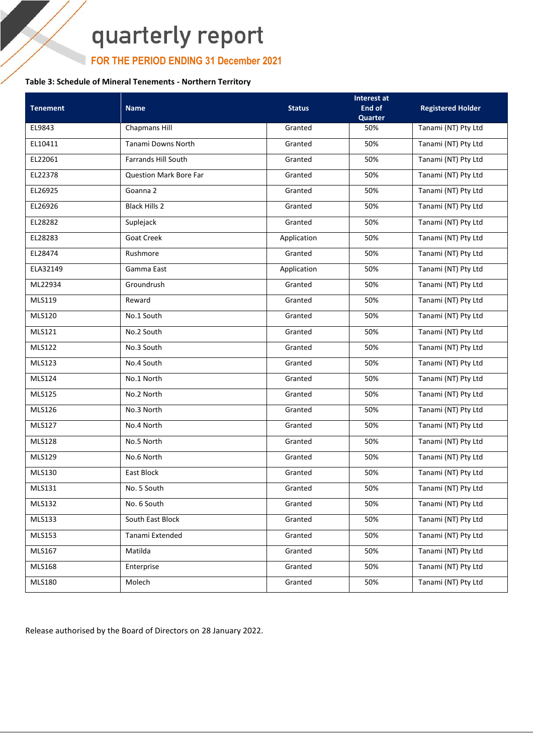### **FOR THE PERIOD ENDING 31 December 2021**

#### **Table 3: Schedule of Mineral Tenements - Northern Territory**

| <b>Tenement</b> | <b>Name</b>                   | <b>Status</b> | Interest at<br>End of | <b>Registered Holder</b> |
|-----------------|-------------------------------|---------------|-----------------------|--------------------------|
|                 |                               |               | Quarter               |                          |
| EL9843          | Chapmans Hill                 | Granted       | 50%                   | Tanami (NT) Pty Ltd      |
| EL10411         | Tanami Downs North            | Granted       | 50%                   | Tanami (NT) Pty Ltd      |
| EL22061         | <b>Farrands Hill South</b>    | Granted       | 50%                   | Tanami (NT) Pty Ltd      |
| EL22378         | <b>Question Mark Bore Far</b> | Granted       | 50%                   | Tanami (NT) Pty Ltd      |
| EL26925         | Goanna 2                      | Granted       | 50%                   | Tanami (NT) Pty Ltd      |
| EL26926         | <b>Black Hills 2</b>          | Granted       | 50%                   | Tanami (NT) Pty Ltd      |
| EL28282         | Suplejack                     | Granted       | 50%                   | Tanami (NT) Pty Ltd      |
| EL28283         | <b>Goat Creek</b>             | Application   | 50%                   | Tanami (NT) Pty Ltd      |
| EL28474         | Rushmore                      | Granted       | 50%                   | Tanami (NT) Pty Ltd      |
| ELA32149        | Gamma East                    | Application   | 50%                   | Tanami (NT) Pty Ltd      |
| ML22934         | Groundrush                    | Granted       | 50%                   | Tanami (NT) Pty Ltd      |
| <b>MLS119</b>   | Reward                        | Granted       | 50%                   | Tanami (NT) Pty Ltd      |
| <b>MLS120</b>   | No.1 South                    | Granted       | 50%                   | Tanami (NT) Pty Ltd      |
| MLS121          | No.2 South                    | Granted       | 50%                   | Tanami (NT) Pty Ltd      |
| MLS122          | No.3 South                    | Granted       | 50%                   | Tanami (NT) Pty Ltd      |
| MLS123          | No.4 South                    | Granted       | 50%                   | Tanami (NT) Pty Ltd      |
| MLS124          | No.1 North                    | Granted       | 50%                   | Tanami (NT) Pty Ltd      |
| <b>MLS125</b>   | No.2 North                    | Granted       | 50%                   | Tanami (NT) Pty Ltd      |
| MLS126          | No.3 North                    | Granted       | 50%                   | Tanami (NT) Pty Ltd      |
| MLS127          | No.4 North                    | Granted       | 50%                   | Tanami (NT) Pty Ltd      |
| <b>MLS128</b>   | No.5 North                    | Granted       | 50%                   | Tanami (NT) Pty Ltd      |
| MLS129          | No.6 North                    | Granted       | 50%                   | Tanami (NT) Pty Ltd      |
| MLS130          | East Block                    | Granted       | 50%                   | Tanami (NT) Pty Ltd      |
| MLS131          | No. 5 South                   | Granted       | 50%                   | Tanami (NT) Pty Ltd      |
| MLS132          | No. 6 South                   | Granted       | 50%                   | Tanami (NT) Pty Ltd      |
| <b>MLS133</b>   | South East Block              | Granted       | 50%                   | Tanami (NT) Pty Ltd      |
| MLS153          | Tanami Extended               | Granted       | 50%                   | Tanami (NT) Pty Ltd      |
| MLS167          | Matilda                       | Granted       | 50%                   | Tanami (NT) Pty Ltd      |
| MLS168          | Enterprise                    | Granted       | 50%                   | Tanami (NT) Pty Ltd      |
| <b>MLS180</b>   | Molech                        | Granted       | 50%                   | Tanami (NT) Pty Ltd      |

Release authorised by the Board of Directors on 28 January 2022.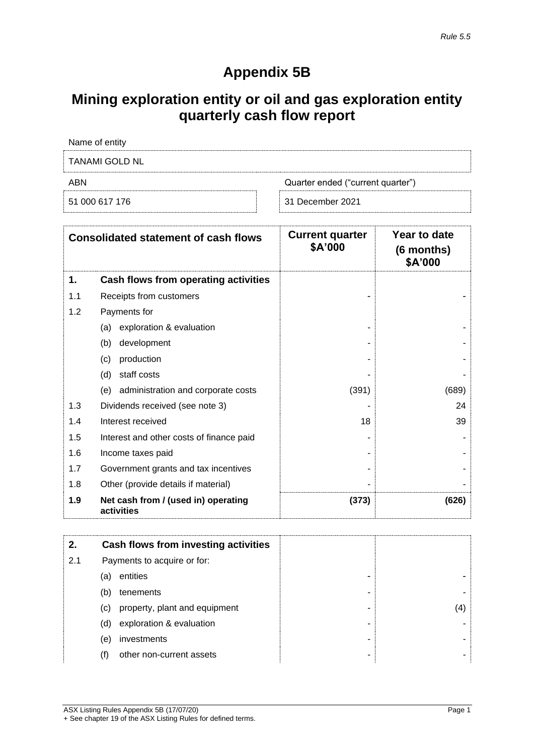### **Appendix 5B**

### **Mining exploration entity or oil and gas exploration entity quarterly cash flow report**

| Name of entity |                                   |
|----------------|-----------------------------------|
| TANAMI GOLD NL |                                   |
| ABN            | Quarter ended ("current quarter") |
| 51 000 617 176 | 31 December 2021                  |

|     | <b>Consolidated statement of cash flows</b>       | <b>Current quarter</b><br>\$A'000 | Year to date<br>(6 months)<br>\$A'000 |
|-----|---------------------------------------------------|-----------------------------------|---------------------------------------|
| 1.  | Cash flows from operating activities              |                                   |                                       |
| 1.1 | Receipts from customers                           |                                   |                                       |
| 1.2 | Payments for                                      |                                   |                                       |
|     | exploration & evaluation<br>(a)                   |                                   |                                       |
|     | (b)<br>development                                |                                   |                                       |
|     | (c)<br>production                                 |                                   |                                       |
|     | (d)<br>staff costs                                |                                   |                                       |
|     | administration and corporate costs<br>(e)         | (391)                             | (689)                                 |
| 1.3 | Dividends received (see note 3)                   |                                   | 24                                    |
| 1.4 | Interest received                                 | 18                                | 39                                    |
| 1.5 | Interest and other costs of finance paid          |                                   |                                       |
| 1.6 | Income taxes paid                                 |                                   |                                       |
| 1.7 | Government grants and tax incentives              |                                   |                                       |
| 1.8 | Other (provide details if material)               |                                   |                                       |
| 1.9 | Net cash from / (used in) operating<br>activities | (373)                             | (626)                                 |

| 2.  |     | Cash flows from investing activities |    |
|-----|-----|--------------------------------------|----|
| 2.1 |     | Payments to acquire or for:          |    |
|     | (a) | entities<br>-                        |    |
|     | (b) | tenements<br>-                       |    |
|     | (C) | property, plant and equipment<br>-   | 4) |
|     | (d) | exploration & evaluation<br>۰        |    |
|     | (e) | investments<br>-                     |    |
|     | (f) | other non-current assets<br>-        |    |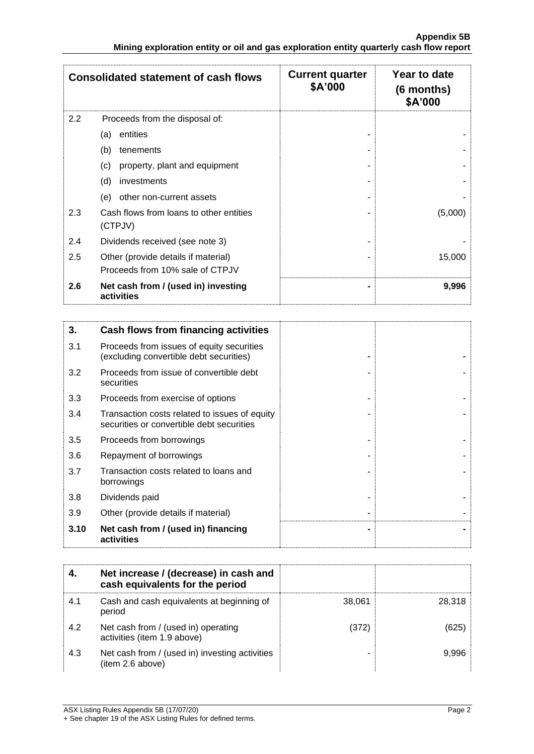|     | <b>Consolidated statement of cash flows</b>                            | <b>Current quarter</b><br>\$A'000 | Year to date<br>$(6$ months)<br>\$A'000 |
|-----|------------------------------------------------------------------------|-----------------------------------|-----------------------------------------|
| 2.2 | Proceeds from the disposal of:                                         |                                   |                                         |
|     | entities<br>(a)                                                        |                                   |                                         |
|     | (b)<br>tenements                                                       |                                   |                                         |
|     | property, plant and equipment<br>(c)                                   |                                   |                                         |
|     | (d)<br>investments                                                     |                                   |                                         |
|     | other non-current assets<br>(e)                                        |                                   |                                         |
| 2.3 | Cash flows from loans to other entities<br>(CTPJV)                     |                                   | (5,000)                                 |
| 2.4 | Dividends received (see note 3)                                        |                                   |                                         |
| 2.5 | Other (provide details if material)<br>Proceeds from 10% sale of CTPJV |                                   | 15,000                                  |
| 2.6 | Net cash from / (used in) investing<br>activities                      |                                   | 9,996                                   |

| 3.   | Cash flows from financing activities                                                       |  |
|------|--------------------------------------------------------------------------------------------|--|
| 3.1  | Proceeds from issues of equity securities<br>(excluding convertible debt securities)       |  |
| 3.2  | Proceeds from issue of convertible debt<br>securities                                      |  |
| 3.3  | Proceeds from exercise of options                                                          |  |
| 3.4  | Transaction costs related to issues of equity<br>securities or convertible debt securities |  |
| 3.5  | Proceeds from borrowings                                                                   |  |
| 3.6  | Repayment of borrowings                                                                    |  |
| 3.7  | Transaction costs related to loans and<br>borrowings                                       |  |
| 3.8  | Dividends paid                                                                             |  |
| 3.9  | Other (provide details if material)                                                        |  |
| 3.10 | Net cash from / (used in) financing<br>activities                                          |  |

| 4.  | Net increase / (decrease) in cash and<br>cash equivalents for the period |        |        |
|-----|--------------------------------------------------------------------------|--------|--------|
| 4.1 | Cash and cash equivalents at beginning of<br>period                      | 38.061 | 28.318 |
| 4.2 | Net cash from / (used in) operating<br>activities (item 1.9 above)       | (372)  | (625   |
| 4.3 | Net cash from / (used in) investing activities<br>(item 2.6 above)       |        | 9.996  |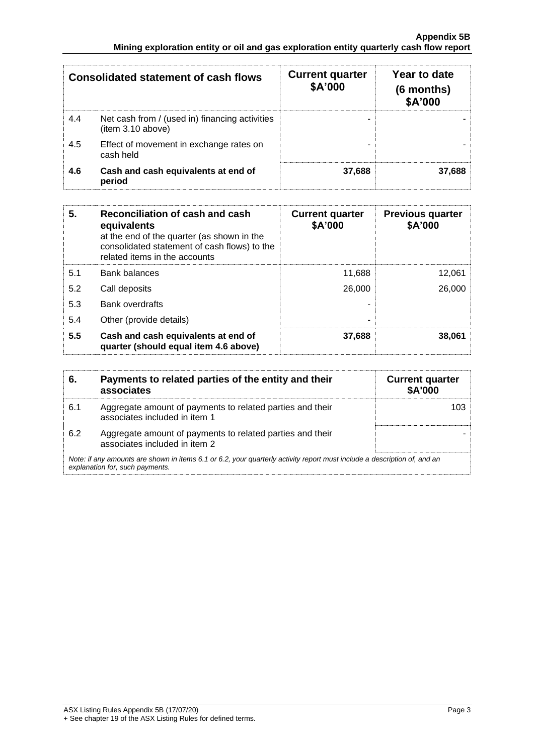| <b>Consolidated statement of cash flows</b> |                                                                     | <b>Current quarter</b><br>\$A'000 | Year to date<br>$(6$ months)<br>\$A'000 |
|---------------------------------------------|---------------------------------------------------------------------|-----------------------------------|-----------------------------------------|
| 4.4                                         | Net cash from / (used in) financing activities<br>(item 3.10 above) | -                                 |                                         |
| 4.5                                         | Effect of movement in exchange rates on<br>cash held                |                                   |                                         |
| 4.6                                         | Cash and cash equivalents at end of<br>period                       | 37,688                            | 37,688                                  |

| 5.  | Reconciliation of cash and cash<br>equivalents<br>at the end of the quarter (as shown in the<br>consolidated statement of cash flows) to the<br>related items in the accounts | <b>Current quarter</b><br>\$A'000 | <b>Previous quarter</b><br>\$A'000 |
|-----|-------------------------------------------------------------------------------------------------------------------------------------------------------------------------------|-----------------------------------|------------------------------------|
| 5.1 | Bank balances                                                                                                                                                                 | 11,688                            | 12,061                             |
| 5.2 | Call deposits                                                                                                                                                                 | 26,000                            | 26,000                             |
| 5.3 | <b>Bank overdrafts</b>                                                                                                                                                        |                                   |                                    |
| 5.4 | Other (provide details)                                                                                                                                                       | ۰                                 |                                    |
| 5.5 | Cash and cash equivalents at end of<br>quarter (should equal item 4.6 above)                                                                                                  | 37,688                            | 38.061                             |

| 6.  | Payments to related parties of the entity and their<br>associates                                                                                           | <b>Current quarter</b><br><b>\$A'000</b> |  |  |  |
|-----|-------------------------------------------------------------------------------------------------------------------------------------------------------------|------------------------------------------|--|--|--|
| 6.1 | Aggregate amount of payments to related parties and their<br>associates included in item 1                                                                  |                                          |  |  |  |
| 6.2 | Aggregate amount of payments to related parties and their<br>associates included in item 2                                                                  |                                          |  |  |  |
|     | Note: if any amounts are shown in items 6.1 or 6.2, your quarterly activity report must include a description of, and an<br>explanation for, such payments. |                                          |  |  |  |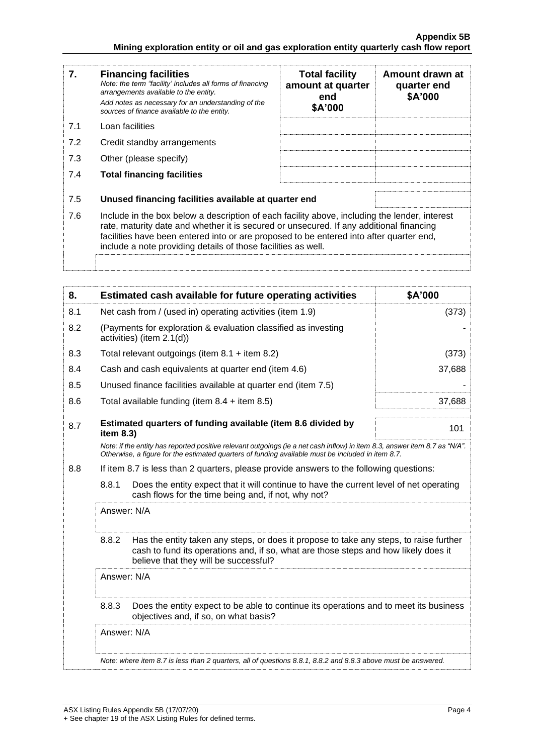| 7.  | <b>Financing facilities</b><br>Note: the term "facility' includes all forms of financing<br>arrangements available to the entity.<br>Add notes as necessary for an understanding of the<br>sources of finance available to the entity.                                                                                                               | <b>Total facility</b><br>amount at quarter<br>end<br>\$A'000 | Amount drawn at<br>quarter end<br>\$A'000 |
|-----|------------------------------------------------------------------------------------------------------------------------------------------------------------------------------------------------------------------------------------------------------------------------------------------------------------------------------------------------------|--------------------------------------------------------------|-------------------------------------------|
| 7.1 | Loan facilities                                                                                                                                                                                                                                                                                                                                      |                                                              |                                           |
| 7.2 | Credit standby arrangements                                                                                                                                                                                                                                                                                                                          |                                                              |                                           |
| 7.3 | Other (please specify)                                                                                                                                                                                                                                                                                                                               |                                                              |                                           |
| 7.4 | <b>Total financing facilities</b>                                                                                                                                                                                                                                                                                                                    |                                                              |                                           |
|     |                                                                                                                                                                                                                                                                                                                                                      |                                                              |                                           |
| 7.5 | Unused financing facilities available at quarter end                                                                                                                                                                                                                                                                                                 |                                                              |                                           |
| 7.6 | Include in the box below a description of each facility above, including the lender, interest<br>rate, maturity date and whether it is secured or unsecured. If any additional financing<br>facilities have been entered into or are proposed to be entered into after quarter end,<br>include a note providing details of those facilities as well. |                                                              |                                           |
|     |                                                                                                                                                                                                                                                                                                                                                      |                                                              |                                           |

| 8.  | Estimated cash available for future operating activities                                                                                                                                                                        | \$A'000 |  |
|-----|---------------------------------------------------------------------------------------------------------------------------------------------------------------------------------------------------------------------------------|---------|--|
| 8.1 | Net cash from / (used in) operating activities (item 1.9)                                                                                                                                                                       | (373)   |  |
| 8.2 | (Payments for exploration & evaluation classified as investing<br>activities) (item 2.1(d))                                                                                                                                     |         |  |
| 8.3 | Total relevant outgoings (item $8.1 +$ item $8.2$ )                                                                                                                                                                             | (373)   |  |
| 8.4 | Cash and cash equivalents at quarter end (item 4.6)                                                                                                                                                                             | 37,688  |  |
| 8.5 | Unused finance facilities available at quarter end (item 7.5)                                                                                                                                                                   |         |  |
| 8.6 | Total available funding (item $8.4 +$ item $8.5$ )                                                                                                                                                                              | 37,688  |  |
| 8.7 | Estimated quarters of funding available (item 8.6 divided by<br>item 8.3)                                                                                                                                                       | 101     |  |
|     | Note: if the entity has reported positive relevant outgoings (ie a net cash inflow) in item 8.3, answer item 8.7 as "N/A".<br>Otherwise, a figure for the estimated quarters of funding available must be included in item 8.7. |         |  |
| 8.8 | If item 8.7 is less than 2 quarters, please provide answers to the following questions:                                                                                                                                         |         |  |
|     | 8.8.1<br>Does the entity expect that it will continue to have the current level of net operating<br>cash flows for the time being and, if not, why not?                                                                         |         |  |
|     | Answer: N/A                                                                                                                                                                                                                     |         |  |
|     | 8.8.2<br>Has the entity taken any steps, or does it propose to take any steps, to raise further<br>cash to fund its operations and, if so, what are those steps and how likely does it<br>believe that they will be successful? |         |  |
|     | Answer: N/A                                                                                                                                                                                                                     |         |  |
|     | 8.8.3<br>Does the entity expect to be able to continue its operations and to meet its business<br>objectives and, if so, on what basis?                                                                                         |         |  |
|     | Answer: N/A                                                                                                                                                                                                                     |         |  |
|     | Note: where item 8.7 is less than 2 quarters, all of questions 8.8.1, 8.8.2 and 8.8.3 above must be answered.                                                                                                                   |         |  |